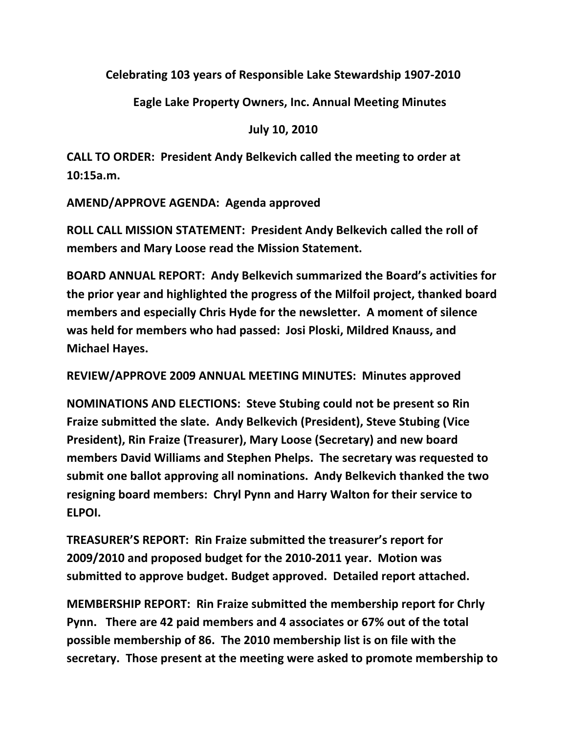**Celebrating 103 years of Responsible Lake Stewardship 1907-2010**

**Eagle Lake Property Owners, Inc. Annual Meeting Minutes**

**July 10, 2010**

**CALL TO ORDER: President Andy Belkevich called the meeting to order at 10:15a.m.** 

**AMEND/APPROVE AGENDA: Agenda approved**

**ROLL CALL MISSION STATEMENT: President Andy Belkevich called the roll of members and Mary Loose read the Mission Statement.**

**BOARD ANNUAL REPORT: Andy Belkevich summarized the Board's activities for the prior year and highlighted the progress of the Milfoil project, thanked board members and especially Chris Hyde for the newsletter. A moment of silence was held for members who had passed: Josi Ploski, Mildred Knauss, and Michael Hayes.**

**REVIEW/APPROVE 2009 ANNUAL MEETING MINUTES: Minutes approved**

**NOMINATIONS AND ELECTIONS: Steve Stubing could not be present so Rin Fraize submitted the slate. Andy Belkevich (President), Steve Stubing (Vice President), Rin Fraize (Treasurer), Mary Loose (Secretary) and new board members David Williams and Stephen Phelps. The secretary was requested to submit one ballot approving all nominations. Andy Belkevich thanked the two resigning board members: Chryl Pynn and Harry Walton for their service to ELPOI.**

**TREASURER'S REPORT: Rin Fraize submitted the treasurer's report for 2009/2010 and proposed budget for the 2010-2011 year. Motion was submitted to approve budget. Budget approved. Detailed report attached.**

**MEMBERSHIP REPORT: Rin Fraize submitted the membership report for Chrly Pynn. There are 42 paid members and 4 associates or 67% out of the total possible membership of 86. The 2010 membership list is on file with the secretary. Those present at the meeting were asked to promote membership to**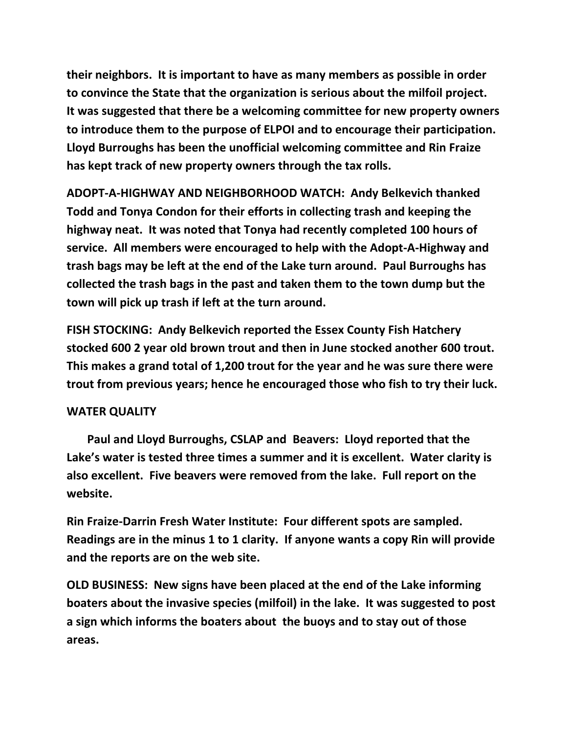**their neighbors. It is important to have as many members as possible in order to convince the State that the organization is serious about the milfoil project. It was suggested that there be a welcoming committee for new property owners to introduce them to the purpose of ELPOI and to encourage their participation. Lloyd Burroughs has been the unofficial welcoming committee and Rin Fraize has kept track of new property owners through the tax rolls.**

**ADOPT-A-HIGHWAY AND NEIGHBORHOOD WATCH: Andy Belkevich thanked Todd and Tonya Condon for their efforts in collecting trash and keeping the highway neat. It was noted that Tonya had recently completed 100 hours of service. All members were encouraged to help with the Adopt-A-Highway and trash bags may be left at the end of the Lake turn around. Paul Burroughs has collected the trash bags in the past and taken them to the town dump but the town will pick up trash if left at the turn around.**

**FISH STOCKING: Andy Belkevich reported the Essex County Fish Hatchery stocked 600 2 year old brown trout and then in June stocked another 600 trout. This makes a grand total of 1,200 trout for the year and he was sure there were trout from previous years; hence he encouraged those who fish to try their luck.**

## **WATER QUALITY**

 **Paul and Lloyd Burroughs, CSLAP and Beavers: Lloyd reported that the Lake's water is tested three times a summer and it is excellent. Water clarity is also excellent. Five beavers were removed from the lake. Full report on the website.**

**Rin Fraize-Darrin Fresh Water Institute: Four different spots are sampled. Readings are in the minus 1 to 1 clarity. If anyone wants a copy Rin will provide and the reports are on the web site.**

**OLD BUSINESS: New signs have been placed at the end of the Lake informing boaters about the invasive species (milfoil) in the lake. It was suggested to post a sign which informs the boaters about the buoys and to stay out of those areas.**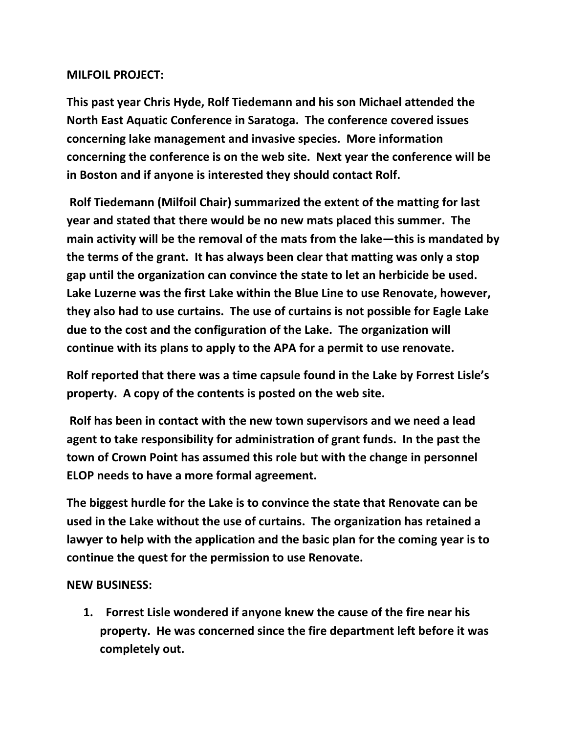## **MILFOIL PROJECT:**

**This past year Chris Hyde, Rolf Tiedemann and his son Michael attended the North East Aquatic Conference in Saratoga. The conference covered issues concerning lake management and invasive species. More information concerning the conference is on the web site. Next year the conference will be in Boston and if anyone is interested they should contact Rolf.** 

**Rolf Tiedemann (Milfoil Chair) summarized the extent of the matting for last year and stated that there would be no new mats placed this summer. The main activity will be the removal of the mats from the lake—this is mandated by the terms of the grant. It has always been clear that matting was only a stop gap until the organization can convince the state to let an herbicide be used. Lake Luzerne was the first Lake within the Blue Line to use Renovate, however, they also had to use curtains. The use of curtains is not possible for Eagle Lake due to the cost and the configuration of the Lake. The organization will continue with its plans to apply to the APA for a permit to use renovate.**

**Rolf reported that there was a time capsule found in the Lake by Forrest Lisle's property. A copy of the contents is posted on the web site.**

**Rolf has been in contact with the new town supervisors and we need a lead agent to take responsibility for administration of grant funds. In the past the town of Crown Point has assumed this role but with the change in personnel ELOP needs to have a more formal agreement.**

**The biggest hurdle for the Lake is to convince the state that Renovate can be used in the Lake without the use of curtains. The organization has retained a lawyer to help with the application and the basic plan for the coming year is to continue the quest for the permission to use Renovate.**

## **NEW BUSINESS:**

**1. Forrest Lisle wondered if anyone knew the cause of the fire near his property. He was concerned since the fire department left before it was completely out.**